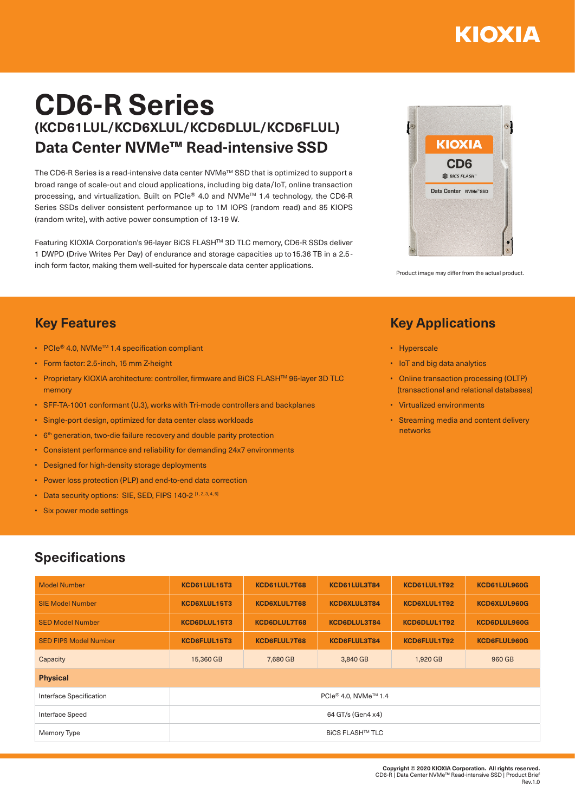# KIOXIA

# **CD6-R Series (KCD61LUL/KCD6XLUL/KCD6DLUL/KCD6FLUL) Data Center NVMe™ Read-intensive SSD**

The CD6-R Series is a read-intensive data center NVMe™ SSD that is optimized to support a broad range of scale-out and cloud applications, including big data/IoT, online transaction processing, and virtualization. Built on PCIe® 4.0 and NVMe™ 1.4 technology, the CD6-R Series SSDs deliver consistent performance up to 1M IOPS (random read) and 85 KIOPS (random write), with active power consumption of 13-19 W.

Featuring KIOXIA Corporation's 96-layer BiCS FLASHTM 3D TLC memory, CD6-R SSDs deliver 1 DWPD (Drive Writes Per Day) of endurance and storage capacities up to 15.36 TB in a 2.5 inch form factor, making them well-suited for hyperscale data center applications.



Product image may differ from the actual product.

## **Key Applications**

- Hyperscale
- IoT and big data analytics
- Online transaction processing (OLTP) (transactional and relational databases)
- Virtualized environments
- Streaming media and content delivery networks

#### **Key Features**

- PCIe® 4.0, NVMeTM 1.4 specification compliant
- Form factor: 2.5-inch, 15 mm Z-height
- Proprietary KIOXIA architecture: controller, firmware and BiCS FLASHTM 96-layer 3D TLC memory
- SFF-TA-1001 conformant (U.3), works with Tri-mode controllers and backplanes
- Single-port design, optimized for data center class workloads
- 6<sup>th</sup> generation, two-die failure recovery and double parity protection
- Consistent performance and reliability for demanding 24x7 environments
- Designed for high-density storage deployments
- Power loss protection (PLP) and end-to-end data correction
- Data security options: SIE, SED, FIPS 140-2 [1, 2, 3, 4, 5]
- Six power mode settings

## **Specifications**

| <b>Model Number</b>          | KCD61LUL15T3                     | KCD61LUL7T68        | KCD61LUL3T84 | KCD61LUL1T92 | KCD61LUL960G |  |  |  |
|------------------------------|----------------------------------|---------------------|--------------|--------------|--------------|--|--|--|
| <b>SIE Model Number</b>      | KCD6XLUL15T3                     | <b>KCD6XLUL7T68</b> | KCD6XLUL3T84 | KCD6XLUL1T92 | KCD6XLUL960G |  |  |  |
| <b>SED Model Number</b>      | KCD6DLUL15T3                     | KCD6DLUL7T68        | KCD6DLUL3T84 | KCD6DLUL1T92 | KCD6DLUL960G |  |  |  |
| <b>SED FIPS Model Number</b> | KCD6FLUL15T3                     | KCD6FLUL7T68        | KCD6FLUL3T84 | KCD6FLUL1T92 | KCD6FLUL960G |  |  |  |
| Capacity                     | 15,360 GB                        | 7,680 GB            | 3,840 GB     | 1,920 GB     | 960 GB       |  |  |  |
| <b>Physical</b>              |                                  |                     |              |              |              |  |  |  |
| Interface Specification      | PCIe® 4.0, NVMe <sup>™</sup> 1.4 |                     |              |              |              |  |  |  |
| Interface Speed              | 64 GT/s (Gen4 x4)                |                     |              |              |              |  |  |  |
| Memory Type                  | <b>BICS FLASH™ TLC</b>           |                     |              |              |              |  |  |  |